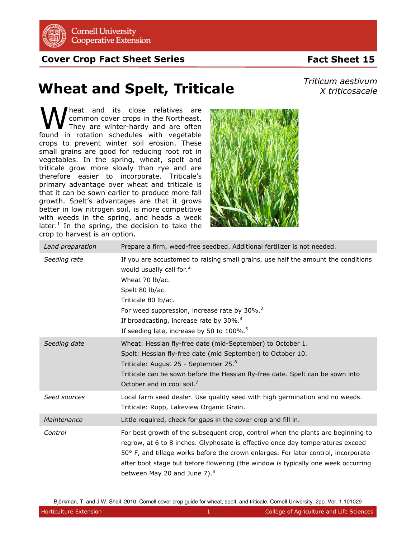

**Cornell University Cooperative Extension** 

**Cover Crop Fact Sheet Series**

## **Fact Sheet 15**

## **Wheat and Spelt, Triticale**

*Triticum aestivum X triticosacale*

heat and its close relatives are common cover crops in the Northeast. They are winter-hardy and are often **M** heat and its close relatives are<br>
They are winter-hardy and are often<br>
found in rotation schedules with vegetable crops to prevent winter soil erosion. These small grains are good for reducing root rot in vegetables. In the spring, wheat, spelt and triticale grow more slowly than rye and are therefore easier to incorporate. Triticale's primary advantage over wheat and triticale is that it can be sown earlier to produce more fall growth. Spelt's advantages are that it grows better in low nitrogen soil, is more competitive with weeds in the spring, and heads a week later. $<sup>1</sup>$  In the spring, the decision to take the</sup> crop to harvest is an option.



| Land preparation | Prepare a firm, weed-free seedbed. Additional fertilizer is not needed.                                                                                                                                                                                                                                                                                                                   |
|------------------|-------------------------------------------------------------------------------------------------------------------------------------------------------------------------------------------------------------------------------------------------------------------------------------------------------------------------------------------------------------------------------------------|
| Seeding rate     | If you are accustomed to raising small grains, use half the amount the conditions<br>would usually call for. <sup>2</sup><br>Wheat 70 lb/ac.<br>Spelt 80 lb/ac.<br>Triticale 80 lb/ac.<br>For weed suppression, increase rate by 30%. <sup>3</sup><br>If broadcasting, increase rate by 30%. <sup>4</sup><br>If seeding late, increase by 50 to 100%. <sup>5</sup>                        |
| Seeding date     | Wheat: Hessian fly-free date (mid-September) to October 1.<br>Spelt: Hessian fly-free date (mid September) to October 10.<br>Triticale: August 25 - September 25. <sup>6</sup><br>Triticale can be sown before the Hessian fly-free date. Spelt can be sown into<br>October and in cool soil. <sup>7</sup>                                                                                |
| Seed sources     | Local farm seed dealer. Use quality seed with high germination and no weeds.<br>Triticale: Rupp, Lakeview Organic Grain.                                                                                                                                                                                                                                                                  |
| Maintenance      | Little required, check for gaps in the cover crop and fill in.                                                                                                                                                                                                                                                                                                                            |
| Control          | For best growth of the subsequent crop, control when the plants are beginning to<br>regrow, at 6 to 8 inches. Glyphosate is effective once day temperatures exceed<br>50° F, and tillage works before the crown enlarges. For later control, incorporate<br>after boot stage but before flowering (the window is typically one week occurring<br>between May 20 and June 7). <sup>8</sup> |

Björkman, T. and J.W. Shail. 2010. Cornell cover crop guide for wheat, spelt, and triticale. Cornell University. 2pp. Ver. 1.101029